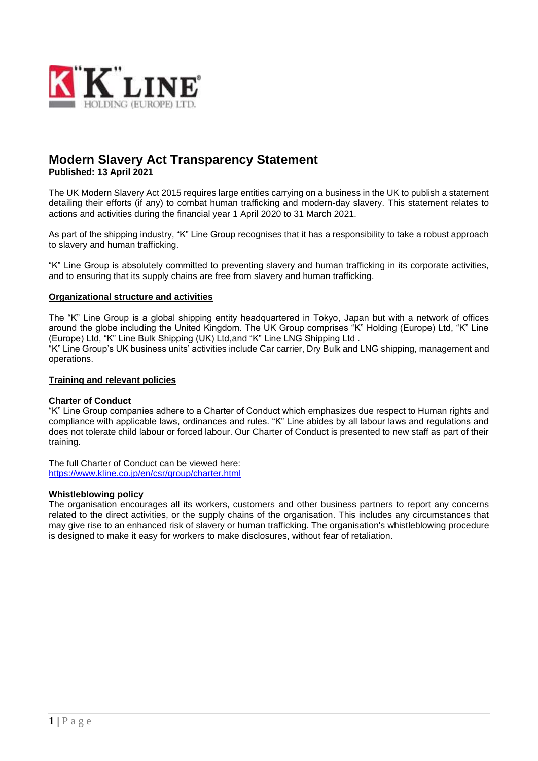

# **Modern Slavery Act Transparency Statement Published: 13 April 2021**

The UK Modern Slavery Act 2015 requires large entities carrying on a business in the UK to publish a statement detailing their efforts (if any) to combat human trafficking and modern-day slavery. This statement relates to actions and activities during the financial year 1 April 2020 to 31 March 2021.

As part of the shipping industry, "K" Line Group recognises that it has a responsibility to take a robust approach to slavery and human trafficking.

"K" Line Group is absolutely committed to preventing slavery and human trafficking in its corporate activities, and to ensuring that its supply chains are free from slavery and human trafficking.

# **Organizational structure and activities**

The "K" Line Group is a global shipping entity headquartered in Tokyo, Japan but with a network of offices around the globe including the United Kingdom. The UK Group comprises "K" Holding (Europe) Ltd, "K" Line (Europe) Ltd, "K" Line Bulk Shipping (UK) Ltd,and "K" Line LNG Shipping Ltd . "K" Line Group's UK business units' activities include Car carrier, Dry Bulk and LNG shipping, management and operations.

### **Training and relevant policies**

### **Charter of Conduct**

"K" Line Group companies adhere to a Charter of Conduct which emphasizes due respect to Human rights and compliance with applicable laws, ordinances and rules. "K" Line abides by all labour laws and regulations and does not tolerate child labour or forced labour. Our Charter of Conduct is presented to new staff as part of their training.

The full Charter of Conduct can be viewed here: <https://www.kline.co.jp/en/csr/group/charter.html>

### **Whistleblowing policy**

The organisation encourages all its workers, customers and other business partners to report any concerns related to the direct activities, or the supply chains of the organisation. This includes any circumstances that may give rise to an enhanced risk of slavery or human trafficking. The organisation's whistleblowing procedure is designed to make it easy for workers to make disclosures, without fear of retaliation.